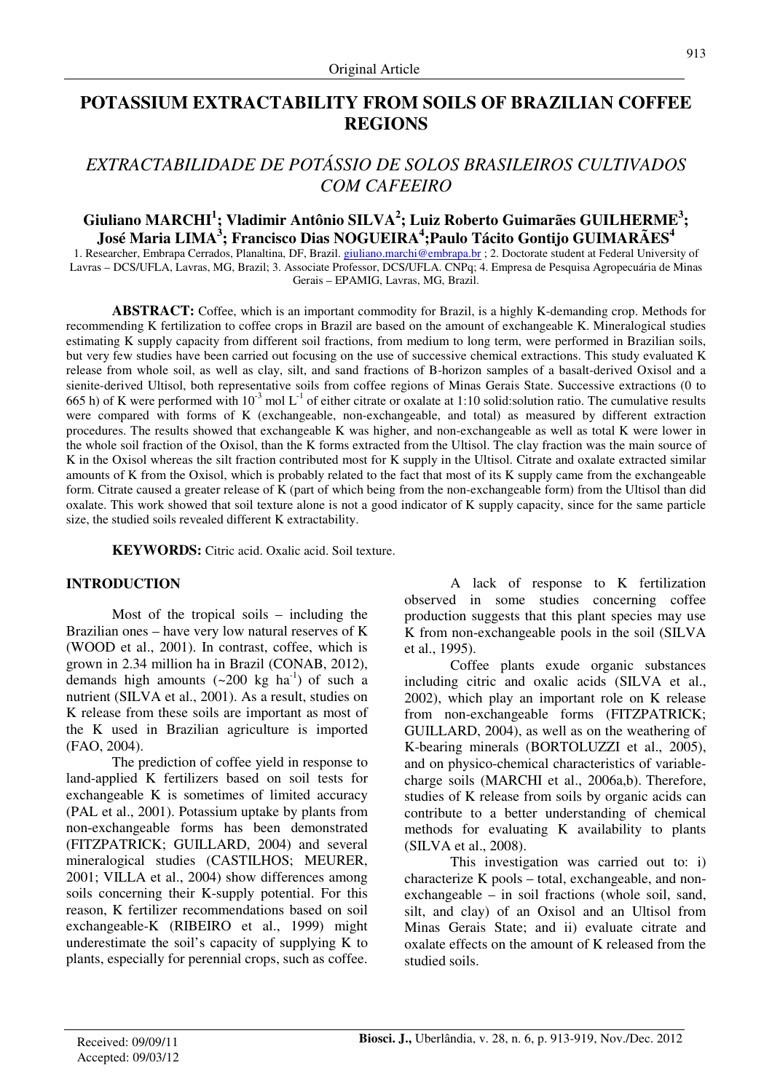# **POTASSIUM EXTRACTABILITY FROM SOILS OF BRAZILIAN COFFEE REGIONS**

# *EXTRACTABILIDADE DE POTÁSSIO DE SOLOS BRASILEIROS CULTIVADOS COM CAFEEIRO*

# **Giuliano MARCHI<sup>1</sup> ; Vladimir Antônio SILVA<sup>2</sup> ; Luiz Roberto Guimarães GUILHERME<sup>3</sup> ; José Maria LIMA<sup>3</sup> ; Francisco Dias NOGUEIRA<sup>4</sup> ;Paulo Tácito Gontijo GUIMARÃES<sup>4</sup>**

1. Researcher, Embrapa Cerrados, Planaltina, DF, Brazil. giuliano.marchi@embrapa.br ; 2. Doctorate student at Federal University of Lavras – DCS/UFLA, Lavras, MG, Brazil; 3. Associate Professor, DCS/UFLA. CNPq; 4. Empresa de Pesquisa Agropecuária de Minas Gerais – EPAMIG, Lavras, MG, Brazil.

**ABSTRACT:** Coffee, which is an important commodity for Brazil, is a highly K-demanding crop. Methods for recommending K fertilization to coffee crops in Brazil are based on the amount of exchangeable K. Mineralogical studies estimating K supply capacity from different soil fractions, from medium to long term, were performed in Brazilian soils, but very few studies have been carried out focusing on the use of successive chemical extractions. This study evaluated K release from whole soil, as well as clay, silt, and sand fractions of B-horizon samples of a basalt-derived Oxisol and a sienite-derived Ultisol, both representative soils from coffee regions of Minas Gerais State. Successive extractions (0 to 665 h) of K were performed with  $10^{-3}$  mol L<sup>-1</sup> of either citrate or oxalate at 1:10 solid:solution ratio. The cumulative results were compared with forms of K (exchangeable, non-exchangeable, and total) as measured by different extraction procedures. The results showed that exchangeable K was higher, and non-exchangeable as well as total K were lower in the whole soil fraction of the Oxisol, than the K forms extracted from the Ultisol. The clay fraction was the main source of K in the Oxisol whereas the silt fraction contributed most for K supply in the Ultisol. Citrate and oxalate extracted similar amounts of K from the Oxisol, which is probably related to the fact that most of its K supply came from the exchangeable form. Citrate caused a greater release of K (part of which being from the non-exchangeable form) from the Ultisol than did oxalate. This work showed that soil texture alone is not a good indicator of K supply capacity, since for the same particle size, the studied soils revealed different K extractability.

**KEYWORDS:** Citric acid. Oxalic acid. Soil texture.

# **INTRODUCTION**

Most of the tropical soils – including the Brazilian ones – have very low natural reserves of K (WOOD et al., 2001). In contrast, coffee, which is grown in 2.34 million ha in Brazil (CONAB, 2012), demands high amounts  $({\sim}200 \text{ kg } \text{ha}^{-1})$  of such a nutrient (SILVA et al., 2001). As a result, studies on K release from these soils are important as most of the K used in Brazilian agriculture is imported (FAO, 2004).

The prediction of coffee yield in response to land-applied K fertilizers based on soil tests for exchangeable K is sometimes of limited accuracy (PAL et al., 2001). Potassium uptake by plants from non-exchangeable forms has been demonstrated (FITZPATRICK; GUILLARD, 2004) and several mineralogical studies (CASTILHOS; MEURER, 2001; VILLA et al., 2004) show differences among soils concerning their K-supply potential. For this reason, K fertilizer recommendations based on soil exchangeable-K (RIBEIRO et al., 1999) might underestimate the soil's capacity of supplying K to plants, especially for perennial crops, such as coffee.

A lack of response to K fertilization observed in some studies concerning coffee production suggests that this plant species may use K from non-exchangeable pools in the soil (SILVA et al., 1995).

Coffee plants exude organic substances including citric and oxalic acids (SILVA et al., 2002), which play an important role on K release from non-exchangeable forms (FITZPATRICK; GUILLARD, 2004), as well as on the weathering of K-bearing minerals (BORTOLUZZI et al., 2005), and on physico-chemical characteristics of variablecharge soils (MARCHI et al., 2006a,b). Therefore, studies of K release from soils by organic acids can contribute to a better understanding of chemical methods for evaluating K availability to plants (SILVA et al., 2008).

This investigation was carried out to: i) characterize K pools – total, exchangeable, and nonexchangeable – in soil fractions (whole soil, sand, silt, and clay) of an Oxisol and an Ultisol from Minas Gerais State; and ii) evaluate citrate and oxalate effects on the amount of K released from the studied soils.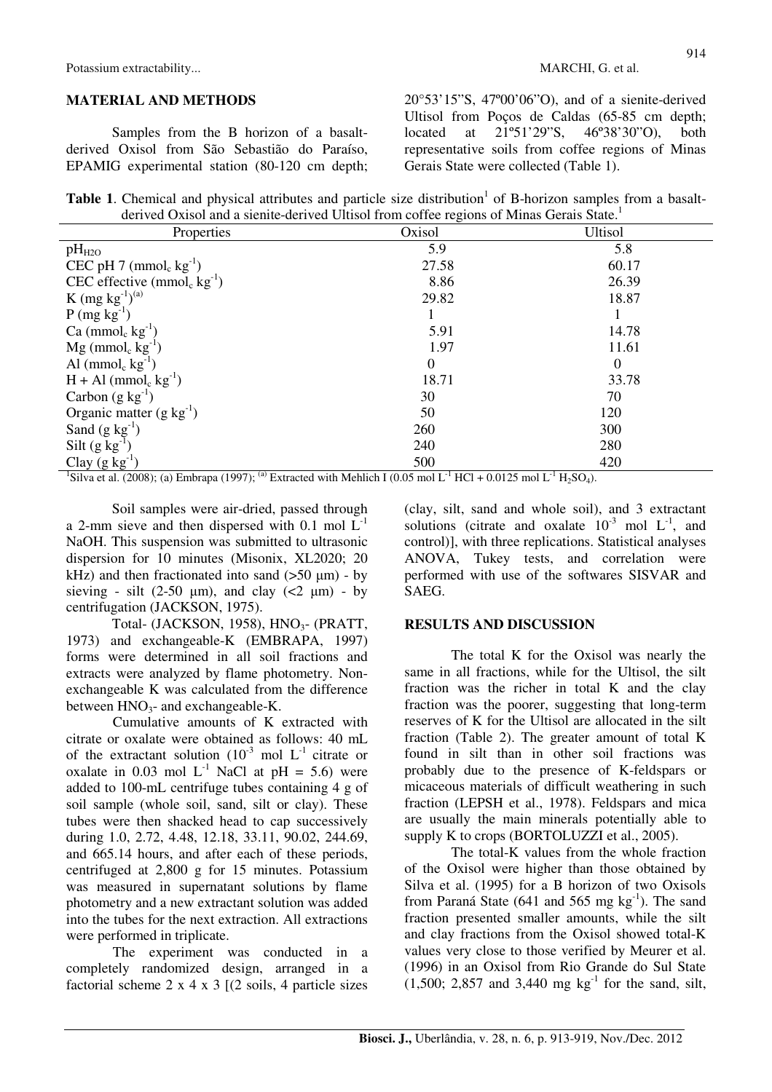#### **MATERIAL AND METHODS**

Samples from the B horizon of a basaltderived Oxisol from São Sebastião do Paraíso, EPAMIG experimental station (80-120 cm depth; 20°53'15"S, 47º00'06"O), and of a sienite-derived Ultisol from Poços de Caldas (65-85 cm depth; located at 21º51'29"S, 46º38'30"O), both representative soils from coffee regions of Minas Gerais State were collected (Table 1).

Table 1. Chemical and physical attributes and particle size distribution<sup>1</sup> of B-horizon samples from a basaltderived Oxisol and a sienite-derived Ultisol from coffee regions of Minas Gerais State.<sup>1</sup>

| Properties                                     | $\circ$<br>Oxisol | <b>Ultisol</b> |
|------------------------------------------------|-------------------|----------------|
| $pH_{H2O}$                                     | 5.9               | 5.8            |
| CEC pH $7 \text{ (mmol}_c \text{ kg}^{-1})$    | 27.58             | 60.17          |
| CEC effective $(mmol_c kg^{-1})$               | 8.86              | 26.39          |
| K (mg $\rm kg^{-1})^{(a)}$                     | 29.82             | 18.87          |
| $P (mg kg^{-1})$                               |                   | 1              |
| Ca (mmol <sub>c</sub> $kg^{-1}$ )              | 5.91              | 14.78          |
| $Mg$ (mmol <sub>c</sub> kg <sup>-1</sup> )     | 1.97              | 11.61          |
| Al (mmol <sub>c</sub> $kg^{-1}$ )              | $\boldsymbol{0}$  | $\theta$       |
| $H + Al$ (mmol <sub>c</sub> kg <sup>-1</sup> ) | 18.71             | 33.78          |
| Carbon $(g \, kg^{-1})$                        | 30                | 70             |
| Organic matter $(g \ kg^{-1})$                 | 50                | 120            |
| Sand $(g \text{ kg}^{-1})$                     | 260               | 300            |
| Silt $(g kg^{-1})$                             | 240               | 280            |
| Clay $(g \, kg^{-1})$                          | 500               | 420            |

<sup>1</sup>Silva et al. (2008); (a) Embrapa (1997); <sup>(a)</sup> Extracted with Mehlich I (0.05 mol L<sup>-1</sup> HCl + 0.0125 mol L<sup>-1</sup> H<sub>2</sub>SO<sub>4</sub>).

Soil samples were air-dried, passed through a 2-mm sieve and then dispersed with 0.1 mol  $L^{-1}$ NaOH. This suspension was submitted to ultrasonic dispersion for 10 minutes (Misonix, XL2020; 20 kHz) and then fractionated into sand  $(50 \mu m)$  - by sieving - silt (2-50  $\mu$ m), and clay (<2  $\mu$ m) - by centrifugation (JACKSON, 1975).

Total- (JACKSON, 1958), HNO<sub>3</sub>- (PRATT, 1973) and exchangeable-K (EMBRAPA, 1997) forms were determined in all soil fractions and extracts were analyzed by flame photometry. Nonexchangeable K was calculated from the difference between  $HNO<sub>3</sub>$ - and exchangeable-K.

Cumulative amounts of K extracted with citrate or oxalate were obtained as follows: 40 mL of the extractant solution  $(10^{-3} \text{ mol } L^{-1} \text{ citrate or }$ oxalate in 0.03 mol  $L^{-1}$  NaCl at pH = 5.6) were added to 100-mL centrifuge tubes containing 4 g of soil sample (whole soil, sand, silt or clay). These tubes were then shacked head to cap successively during 1.0, 2.72, 4.48, 12.18, 33.11, 90.02, 244.69, and 665.14 hours, and after each of these periods, centrifuged at 2,800 g for 15 minutes. Potassium was measured in supernatant solutions by flame photometry and a new extractant solution was added into the tubes for the next extraction. All extractions were performed in triplicate.

The experiment was conducted in a completely randomized design, arranged in a factorial scheme  $2 \times 4 \times 3$  [(2 soils, 4 particle sizes

(clay, silt, sand and whole soil), and 3 extractant solutions (citrate and oxalate  $10^{-3}$  mol  $L^{-1}$ , and control)], with three replications. Statistical analyses ANOVA, Tukey tests, and correlation were performed with use of the softwares SISVAR and **SAEG.** 

## **RESULTS AND DISCUSSION**

The total K for the Oxisol was nearly the same in all fractions, while for the Ultisol, the silt fraction was the richer in total K and the clay fraction was the poorer, suggesting that long-term reserves of K for the Ultisol are allocated in the silt fraction (Table 2). The greater amount of total K found in silt than in other soil fractions was probably due to the presence of K-feldspars or micaceous materials of difficult weathering in such fraction (LEPSH et al., 1978). Feldspars and mica are usually the main minerals potentially able to supply K to crops (BORTOLUZZI et al., 2005).

The total-K values from the whole fraction of the Oxisol were higher than those obtained by Silva et al. (1995) for a B horizon of two Oxisols from Paraná State (641 and 565 mg  $kg^{-1}$ ). The sand fraction presented smaller amounts, while the silt and clay fractions from the Oxisol showed total-K values very close to those verified by Meurer et al. (1996) in an Oxisol from Rio Grande do Sul State  $(1,500; 2,857 \text{ and } 3,440 \text{ mg kg}^{-1} \text{ for the sand, slit},$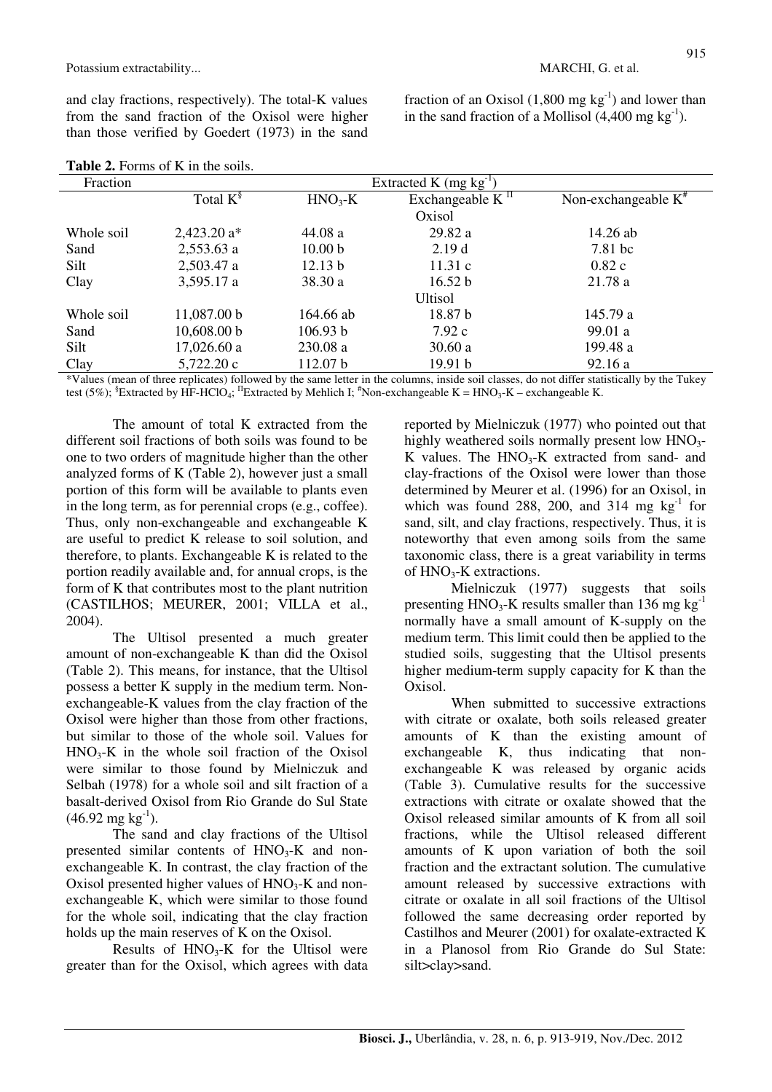and clay fractions, respectively). The total-K values from the sand fraction of the Oxisol were higher than those verified by Goedert (1973) in the sand fraction of an Oxisol  $(1,800 \text{ mg kg}^{-1})$  and lower than in the sand fraction of a Mollisol  $(4,400 \text{ mg kg}^{-1})$ .

| Fraction   |                |                    | Extracted K $(mg kg^{-1})$ |                                                                                               |
|------------|----------------|--------------------|----------------------------|-----------------------------------------------------------------------------------------------|
|            | Total $K^{\S}$ | $HNO3-K$           | Exchangeable $K\Pi$        | Non-exchangeable $K^*$                                                                        |
|            |                |                    | Oxisol                     |                                                                                               |
| Whole soil | $2,423.20$ a*  | 44.08a             | 29.82 a                    | $14.26$ ab                                                                                    |
| Sand       | $2,553.63$ a   | 10.00 <sub>b</sub> | 2.19d                      | $7.81$ bc                                                                                     |
| Silt       | 2,503.47 a     | 12.13 b            | 11.31c                     | 0.82c                                                                                         |
| Clay       | 3,595.17 a     | 38.30 a            | 16.52 b                    | 21.78a                                                                                        |
|            |                |                    | <b>Ultisol</b>             |                                                                                               |
| Whole soil | 11,087.00 b    | 164.66 ab          | 18.87 b                    | 145.79 a                                                                                      |
| Sand       | 10,608.00 b    | 106.93 b           | 7.92c                      | 99.01 a                                                                                       |
| Silt       | 17,026.60a     | 230.08 a           | 30.60a                     | 199.48 a                                                                                      |
| Clay       | 5,722.20 c     | 112.07 b           | 19.91 b                    | 92.16a                                                                                        |
|            |                |                    |                            | $\star$ , and the state $\star$ , and the state $\star$ , and the state $\star$ , and $\star$ |

**Table 2.** Forms of K in the soils.

\*Values (mean of three replicates) followed by the same letter in the columns, inside soil classes, do not differ statistically by the Tukey test (5%);  ${}^{8}$ Extracted by HF-HClO<sub>4</sub>; <sup>II</sup>Extracted by Mehlich I;  ${}^{#}$ Non-exchangeable K = HNO<sub>3</sub>-K – exchangeable K.

The amount of total K extracted from the different soil fractions of both soils was found to be one to two orders of magnitude higher than the other analyzed forms of K (Table 2), however just a small portion of this form will be available to plants even in the long term, as for perennial crops (e.g., coffee). Thus, only non-exchangeable and exchangeable K are useful to predict K release to soil solution, and therefore, to plants. Exchangeable K is related to the portion readily available and, for annual crops, is the form of K that contributes most to the plant nutrition (CASTILHOS; MEURER, 2001; VILLA et al., 2004).

The Ultisol presented a much greater amount of non-exchangeable K than did the Oxisol (Table 2). This means, for instance, that the Ultisol possess a better K supply in the medium term. Nonexchangeable-K values from the clay fraction of the Oxisol were higher than those from other fractions, but similar to those of the whole soil. Values for  $HNO<sub>3</sub>$ -K in the whole soil fraction of the Oxisol were similar to those found by Mielniczuk and Selbah (1978) for a whole soil and silt fraction of a basalt-derived Oxisol from Rio Grande do Sul State  $(46.92 \text{ mg kg}^{-1})$ .

The sand and clay fractions of the Ultisol presented similar contents of  $HNO<sub>3</sub>-K$  and nonexchangeable K. In contrast, the clay fraction of the Oxisol presented higher values of  $HNO<sub>3</sub>-K$  and nonexchangeable K, which were similar to those found for the whole soil, indicating that the clay fraction holds up the main reserves of K on the Oxisol.

Results of  $HNO<sub>3</sub>-K$  for the Ultisol were greater than for the Oxisol, which agrees with data reported by Mielniczuk (1977) who pointed out that highly weathered soils normally present low  $HNO<sub>3</sub>$ -K values. The  $HNO<sub>3</sub>-K$  extracted from sand- and clay-fractions of the Oxisol were lower than those determined by Meurer et al. (1996) for an Oxisol, in which was found 288, 200, and 314 mg  $kg^{-1}$  for sand, silt, and clay fractions, respectively. Thus, it is noteworthy that even among soils from the same taxonomic class, there is a great variability in terms of HNO<sub>3</sub>-K extractions.

Mielniczuk (1977) suggests that soils presenting  $HNO<sub>3</sub>$ -K results smaller than 136 mg kg<sup>-1</sup> normally have a small amount of K-supply on the medium term. This limit could then be applied to the studied soils, suggesting that the Ultisol presents higher medium-term supply capacity for K than the Oxisol.

When submitted to successive extractions with citrate or oxalate, both soils released greater amounts of K than the existing amount of exchangeable K, thus indicating that nonexchangeable K was released by organic acids (Table 3). Cumulative results for the successive extractions with citrate or oxalate showed that the Oxisol released similar amounts of K from all soil fractions, while the Ultisol released different amounts of K upon variation of both the soil fraction and the extractant solution. The cumulative amount released by successive extractions with citrate or oxalate in all soil fractions of the Ultisol followed the same decreasing order reported by Castilhos and Meurer (2001) for oxalate-extracted K in a Planosol from Rio Grande do Sul State: silt>clay>sand.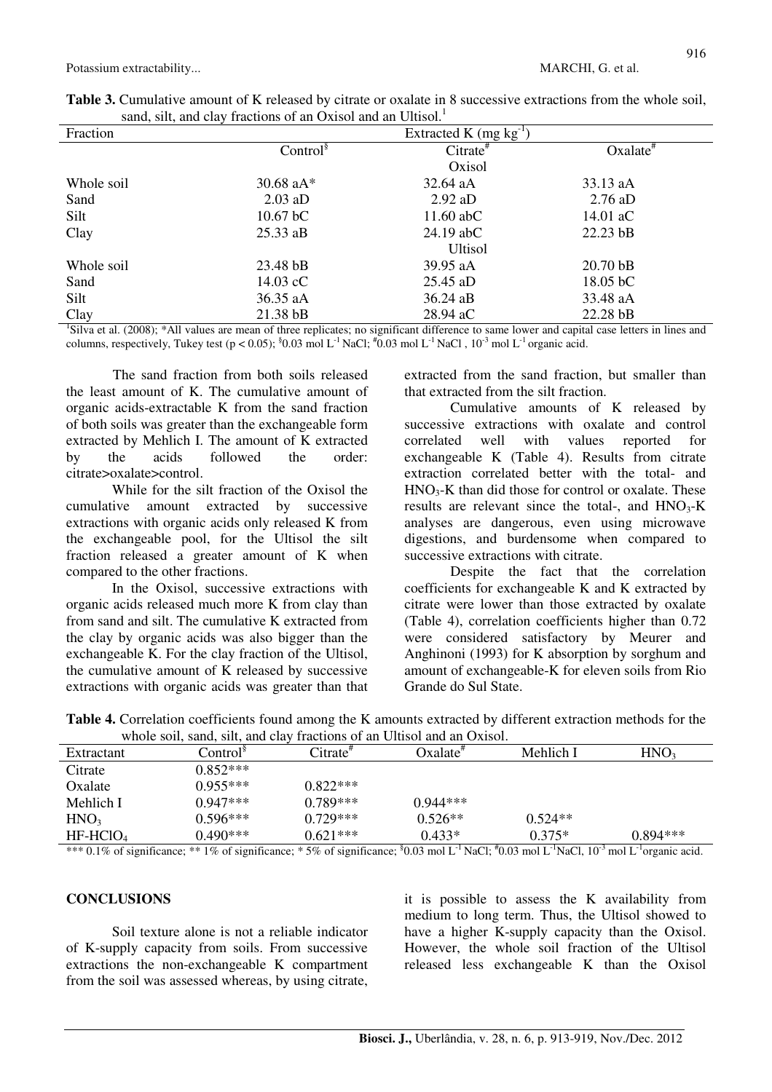| Fraction   | Extracted K (mg $kg^{-1}$ ) |                |                  |  |  |  |
|------------|-----------------------------|----------------|------------------|--|--|--|
|            | Control <sup>§</sup>        | $Citrate^*$    | $Oxalate^*$      |  |  |  |
|            |                             | Oxisol         |                  |  |  |  |
| Whole soil | 30.68 $aA^*$                | 32.64 aA       | 33.13 aA         |  |  |  |
| Sand       | $2.03$ aD                   | $2.92$ aD      | $2.76$ aD        |  |  |  |
| Silt       | $10.67$ bC                  | $11.60$ abC    | 14.01 $\rm{a}$ C |  |  |  |
| Clay       | $25.33$ aB                  | $24.19$ abC    | $22.23$ bB       |  |  |  |
|            |                             | <b>Ultisol</b> |                  |  |  |  |
| Whole soil | 23.48 bB                    | 39.95 aA       | $20.70$ bB       |  |  |  |
| Sand       | $14.03 \text{ cC}$          | $25.45$ aD     | $18.05$ bC       |  |  |  |
| Silt       | 36.35 aA                    | $36.24$ aB     | 33.48 aA         |  |  |  |
| Clay       | $21.38$ bB                  | 28.94 aC       | $22.28$ bB       |  |  |  |

| <b>Table 3.</b> Cumulative amount of K released by citrate or oxalate in 8 successive extractions from the whole soil, |                                                             |  |  |  |
|------------------------------------------------------------------------------------------------------------------------|-------------------------------------------------------------|--|--|--|
|                                                                                                                        | sand, silt, and clay fractions of an Oxisol and an Ultisol. |  |  |  |

<sup>1</sup>Silva et al. (2008); \*All values are mean of three replicates; no significant difference to same lower and capital case letters in lines and columns, respectively, Tukey test (p < 0.05); <sup>§</sup>0.03 mol L<sup>-1</sup> NaCl;  $\rm{^{4}0.03}$  mol L<sup>-1</sup> NaCl, 10<sup>-3</sup> mol L<sup>-1</sup> organic acid.

The sand fraction from both soils released the least amount of K. The cumulative amount of organic acids-extractable K from the sand fraction of both soils was greater than the exchangeable form extracted by Mehlich I. The amount of K extracted by the acids followed the order: citrate>oxalate>control.

 While for the silt fraction of the Oxisol the cumulative amount extracted by successive extractions with organic acids only released K from the exchangeable pool, for the Ultisol the silt fraction released a greater amount of K when compared to the other fractions.

 In the Oxisol, successive extractions with organic acids released much more K from clay than from sand and silt. The cumulative K extracted from the clay by organic acids was also bigger than the exchangeable K. For the clay fraction of the Ultisol, the cumulative amount of K released by successive extractions with organic acids was greater than that extracted from the sand fraction, but smaller than that extracted from the silt fraction.

 Cumulative amounts of K released by successive extractions with oxalate and control correlated well with values reported for exchangeable K (Table 4). Results from citrate extraction correlated better with the total- and  $HNO<sub>3</sub>-K$  than did those for control or oxalate. These results are relevant since the total-, and  $HNO<sub>3</sub>-K$ analyses are dangerous, even using microwave digestions, and burdensome when compared to successive extractions with citrate.

 Despite the fact that the correlation coefficients for exchangeable K and K extracted by citrate were lower than those extracted by oxalate (Table 4), correlation coefficients higher than 0.72 were considered satisfactory by Meurer and Anghinoni (1993) for K absorption by sorghum and amount of exchangeable-K for eleven soils from Rio Grande do Sul State.

|  | Table 4. Correlation coefficients found among the K amounts extracted by different extraction methods for the |  |  |  |
|--|---------------------------------------------------------------------------------------------------------------|--|--|--|
|  | whole soil, sand, silt, and clay fractions of an Ultisol and an Oxisol.                                       |  |  |  |

|                  | <u>mnole</u> boil, baha, blig and eight traetions of an exhoor and an exhool. |            |            |           |                  |  |  |  |
|------------------|-------------------------------------------------------------------------------|------------|------------|-----------|------------------|--|--|--|
| Extractant       | Control <sup>s</sup>                                                          | Citrate"   | Oxalate"   | Mehlich I | HNO <sub>3</sub> |  |  |  |
| Citrate          | $0.852***$                                                                    |            |            |           |                  |  |  |  |
| Oxalate          | $0.955***$                                                                    | $0.822***$ |            |           |                  |  |  |  |
| Mehlich I        | $0.947***$                                                                    | $0.789***$ | $0.944***$ |           |                  |  |  |  |
| HNO <sub>3</sub> | $0.596***$                                                                    | $0.729***$ | $0.526**$  | $0.524**$ |                  |  |  |  |
| $HF-HClO4$       | $0.490***$                                                                    | $0.621***$ | $0.433*$   | $0.375*$  | $0.894***$       |  |  |  |
|                  |                                                                               |            |            |           |                  |  |  |  |

\*\*\* 0.1% of significance; \*\* 1% of significance; \*5% of significance;  $\text{80.03 mol L}^1$  NaCl;  $\text{40.03 mol L}^1$ NaCl,  $10^{-3}$  mol L<sup>-1</sup>organic acid.

# **CONCLUSIONS**

Soil texture alone is not a reliable indicator of K-supply capacity from soils. From successive extractions the non-exchangeable K compartment from the soil was assessed whereas, by using citrate, it is possible to assess the K availability from medium to long term. Thus, the Ultisol showed to have a higher K-supply capacity than the Oxisol. However, the whole soil fraction of the Ultisol released less exchangeable K than the Oxisol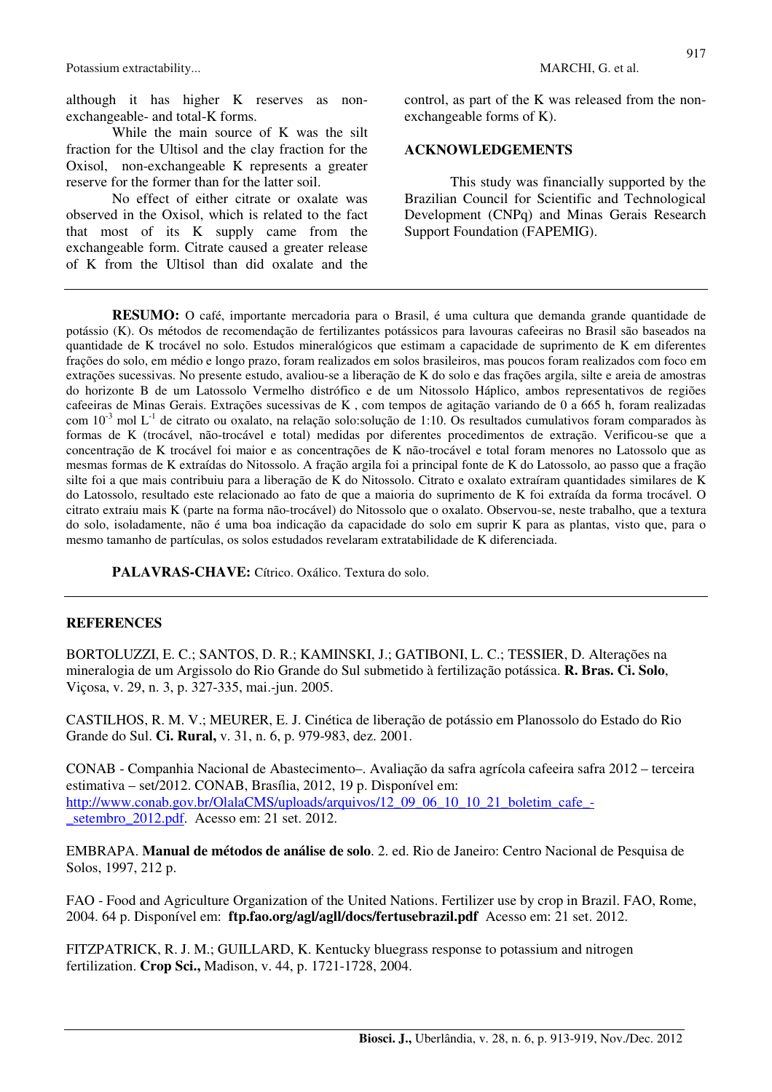Potassium extractability... MARCHI, G. et al.

although it has higher K reserves as nonexchangeable- and total-K forms.

While the main source of K was the silt fraction for the Ultisol and the clay fraction for the Oxisol, non-exchangeable K represents a greater reserve for the former than for the latter soil.

No effect of either citrate or oxalate was observed in the Oxisol, which is related to the fact that most of its K supply came from the exchangeable form. Citrate caused a greater release of K from the Ultisol than did oxalate and the control, as part of the K was released from the nonexchangeable forms of K).

### **ACKNOWLEDGEMENTS**

This study was financially supported by the Brazilian Council for Scientific and Technological Development (CNPq) and Minas Gerais Research Support Foundation (FAPEMIG).

**RESUMO:** O café, importante mercadoria para o Brasil, é uma cultura que demanda grande quantidade de potássio (K). Os métodos de recomendação de fertilizantes potássicos para lavouras cafeeiras no Brasil são baseados na quantidade de K trocável no solo. Estudos mineralógicos que estimam a capacidade de suprimento de K em diferentes frações do solo, em médio e longo prazo, foram realizados em solos brasileiros, mas poucos foram realizados com foco em extrações sucessivas. No presente estudo, avaliou-se a liberação de K do solo e das frações argila, silte e areia de amostras do horizonte B de um Latossolo Vermelho distrófico e de um Nitossolo Háplico, ambos representativos de regiões cafeeiras de Minas Gerais. Extrações sucessivas de K , com tempos de agitação variando de 0 a 665 h, foram realizadas com  $10^{-3}$  mol L<sup>-1</sup> de citrato ou oxalato, na relação solo:solução de 1:10. Os resultados cumulativos foram comparados às formas de K (trocável, não-trocável e total) medidas por diferentes procedimentos de extração. Verificou-se que a concentração de K trocável foi maior e as concentrações de K não-trocável e total foram menores no Latossolo que as mesmas formas de K extraídas do Nitossolo. A fração argila foi a principal fonte de K do Latossolo, ao passo que a fração silte foi a que mais contribuiu para a liberação de K do Nitossolo. Citrato e oxalato extraíram quantidades similares de K do Latossolo, resultado este relacionado ao fato de que a maioria do suprimento de K foi extraída da forma trocável. O citrato extraiu mais K (parte na forma não-trocável) do Nitossolo que o oxalato. Observou-se, neste trabalho, que a textura do solo, isoladamente, não é uma boa indicação da capacidade do solo em suprir K para as plantas, visto que, para o mesmo tamanho de partículas, os solos estudados revelaram extratabilidade de K diferenciada.

**PALAVRAS-CHAVE:** Cítrico. Oxálico. Textura do solo.

## **REFERENCES**

BORTOLUZZI, E. C.; SANTOS, D. R.; KAMINSKI, J.; GATIBONI, L. C.; TESSIER, D. Alterações na mineralogia de um Argissolo do Rio Grande do Sul submetido à fertilização potássica. **R. Bras. Ci. Solo**, Viçosa, v. 29, n. 3, p. 327-335, mai.-jun. 2005.

CASTILHOS, R. M. V.; MEURER, E. J. Cinética de liberação de potássio em Planossolo do Estado do Rio Grande do Sul. **Ci. Rural,** v. 31, n. 6, p. 979-983, dez. 2001.

CONAB - Companhia Nacional de Abastecimento–. Avaliação da safra agrícola cafeeira safra 2012 – terceira estimativa – set/2012. CONAB, Brasília, 2012, 19 p. Disponível em: http://www.conab.gov.br/OlalaCMS/uploads/arquivos/12\_09\_06\_10\_10\_21\_boletim\_cafe\_setembro 2012.pdf. Acesso em: 21 set. 2012.

EMBRAPA. **Manual de métodos de análise de solo**. 2. ed. Rio de Janeiro: Centro Nacional de Pesquisa de Solos, 1997, 212 p.

FAO - Food and Agriculture Organization of the United Nations. Fertilizer use by crop in Brazil. FAO, Rome, 2004. 64 p. Disponível em: **ftp.fao.org/agl/agll/docs/fertusebrazil.pdf** Acesso em: 21 set. 2012.

FITZPATRICK, R. J. M.; GUILLARD, K. Kentucky bluegrass response to potassium and nitrogen fertilization. **Crop Sci.,** Madison, v. 44, p. 1721-1728, 2004.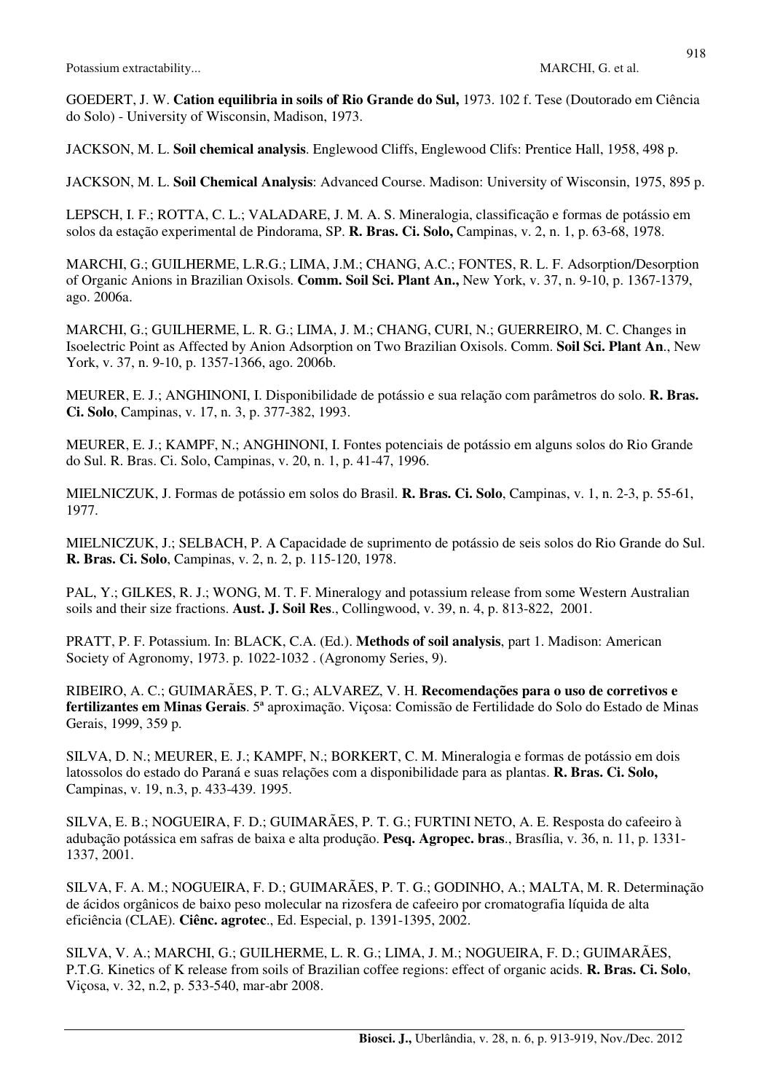GOEDERT, J. W. **Cation equilibria in soils of Rio Grande do Sul,** 1973. 102 f. Tese (Doutorado em Ciência do Solo) - University of Wisconsin, Madison, 1973.

JACKSON, M. L. **Soil chemical analysis**. Englewood Cliffs, Englewood Clifs: Prentice Hall, 1958, 498 p.

JACKSON, M. L. **Soil Chemical Analysis**: Advanced Course. Madison: University of Wisconsin, 1975, 895 p.

LEPSCH, I. F.; ROTTA, C. L.; VALADARE, J. M. A. S. Mineralogia, classificação e formas de potássio em solos da estação experimental de Pindorama, SP. **R. Bras. Ci. Solo,** Campinas, v. 2, n. 1, p. 63-68, 1978.

MARCHI, G.; GUILHERME, L.R.G.; LIMA, J.M.; CHANG, A.C.; FONTES, R. L. F. Adsorption/Desorption of Organic Anions in Brazilian Oxisols. **Comm. Soil Sci. Plant An.,** New York, v. 37, n. 9-10, p. 1367-1379, ago. 2006a.

MARCHI, G.; GUILHERME, L. R. G.; LIMA, J. M.; CHANG, CURI, N.; GUERREIRO, M. C. Changes in Isoelectric Point as Affected by Anion Adsorption on Two Brazilian Oxisols. Comm. **Soil Sci. Plant An**., New York, v. 37, n. 9-10, p. 1357-1366, ago. 2006b.

MEURER, E. J.; ANGHINONI, I. Disponibilidade de potássio e sua relação com parâmetros do solo. **R. Bras. Ci. Solo**, Campinas, v. 17, n. 3, p. 377-382, 1993.

MEURER, E. J.; KAMPF, N.; ANGHINONI, I. Fontes potenciais de potássio em alguns solos do Rio Grande do Sul. R. Bras. Ci. Solo, Campinas, v. 20, n. 1, p. 41-47, 1996.

MIELNICZUK, J. Formas de potássio em solos do Brasil. **R. Bras. Ci. Solo**, Campinas, v. 1, n. 2-3, p. 55-61, 1977.

MIELNICZUK, J.; SELBACH, P. A Capacidade de suprimento de potássio de seis solos do Rio Grande do Sul. **R. Bras. Ci. Solo**, Campinas, v. 2, n. 2, p. 115-120, 1978.

PAL, Y.; GILKES, R. J.; WONG, M. T. F. Mineralogy and potassium release from some Western Australian soils and their size fractions. **Aust. J. Soil Res**., Collingwood, v. 39, n. 4, p. 813-822, 2001.

PRATT, P. F. Potassium. In: BLACK, C.A. (Ed.). **Methods of soil analysis**, part 1. Madison: American Society of Agronomy, 1973. p. 1022-1032 . (Agronomy Series, 9).

RIBEIRO, A. C.; GUIMARÃES, P. T. G.; ALVAREZ, V. H. **Recomendações para o uso de corretivos e fertilizantes em Minas Gerais**. 5ª aproximação. Viçosa: Comissão de Fertilidade do Solo do Estado de Minas Gerais, 1999, 359 p.

SILVA, D. N.; MEURER, E. J.; KAMPF, N.; BORKERT, C. M. Mineralogia e formas de potássio em dois latossolos do estado do Paraná e suas relações com a disponibilidade para as plantas. **R. Bras. Ci. Solo,** Campinas, v. 19, n.3, p. 433-439. 1995.

SILVA, E. B.; NOGUEIRA, F. D.; GUIMARÃES, P. T. G.; FURTINI NETO, A. E. Resposta do cafeeiro à adubação potássica em safras de baixa e alta produção. **Pesq. Agropec. bras**., Brasília, v. 36, n. 11, p. 1331- 1337, 2001.

SILVA, F. A. M.; NOGUEIRA, F. D.; GUIMARÃES, P. T. G.; GODINHO, A.; MALTA, M. R. Determinação de ácidos orgânicos de baixo peso molecular na rizosfera de cafeeiro por cromatografia líquida de alta eficiência (CLAE). **Ciênc. agrotec**., Ed. Especial, p. 1391-1395, 2002.

SILVA, V. A.; MARCHI, G.; GUILHERME, L. R. G.; LIMA, J. M.; NOGUEIRA, F. D.; GUIMARÃES, P.T.G. Kinetics of K release from soils of Brazilian coffee regions: effect of organic acids. **R. Bras. Ci. Solo**, Viçosa, v. 32, n.2, p. 533-540, mar-abr 2008.

918